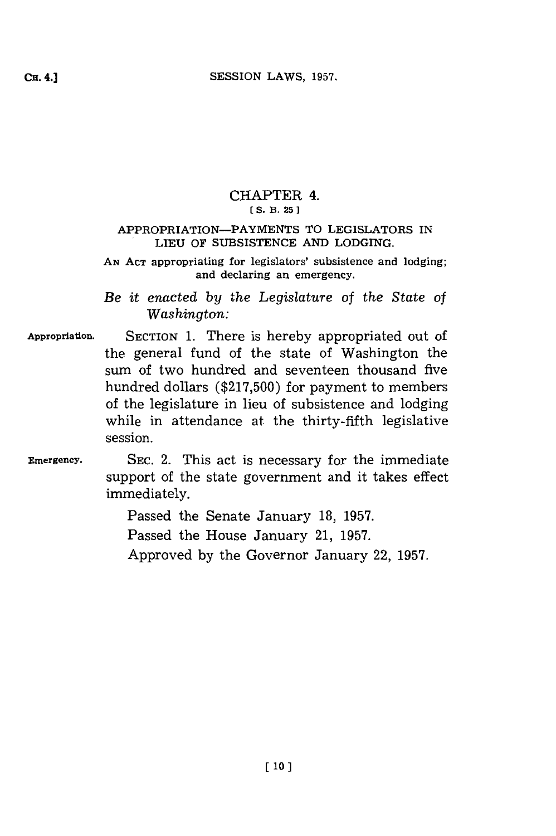## CHAPTER 4. **C(S. B. 25 J**

### APPROPRIATION-PAYMENTS TO LEGISLATORS IN LIEU OF **SUBSISTENCE AND** LODGING.

**AN ACT** appropriating for legislators' subsistence and lodging; and declaring an emergency.

*Be it enacted by the Legislature of the State of Washington:*

- **Appropriation. SECTION 1.** There is hereby appropriated out of the general fund of the state of Washington the sum of two hundred and seventeen thousand five hundred dollars **(\$217,500) for** payment to members of the legislature in lieu of subsistence and lodging while in attendance at the thirty-fifth legislative session.
- Emergency. **SEC.** 2. This act is necessary for the immediate support of the state government and it takes effect immediately.

Passed the Senate January **18, 1957.** Passed the House January 21, **1957.** Approved **by** the Governor January 22, **1957.**